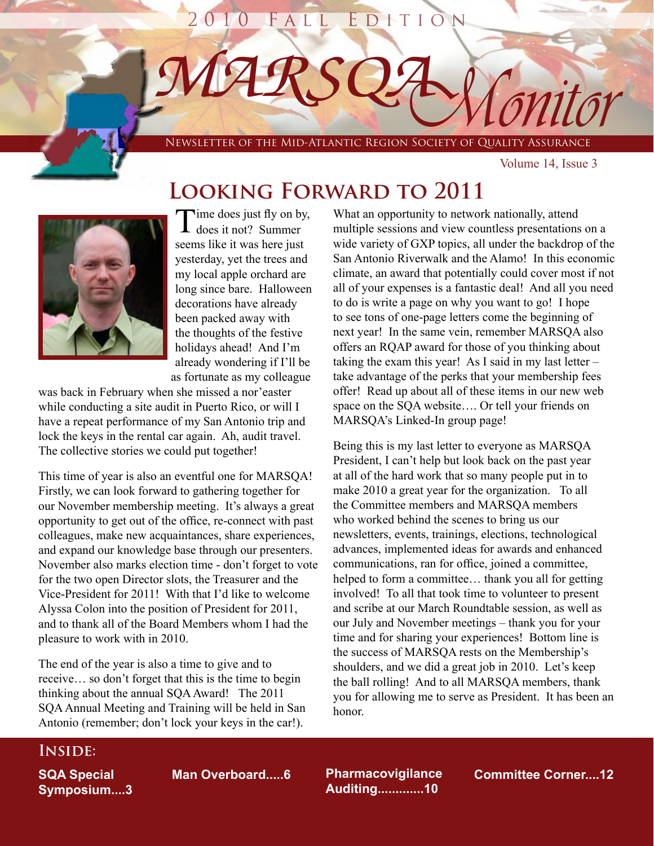

# **Looking Forward to 2011**



Time does just fly on by,<br>does it not? Summer seems like it was here just yesterday, yet the trees and my local apple orchard are long since bare. Halloween decorations have already been packed away with the thoughts of the festive holidays ahead! And I'm already wondering if I'll be as fortunate as my colleague

was back in February when she missed a nor'easter while conducting a site audit in Puerto Rico, or will I have a repeat performance of my San Antonio trip and lock the keys in the rental car again. Ah, audit travel. The collective stories we could put together!

This time of year is also an eventful one for MARSQA! Firstly, we can look forward to gathering together for our November membership meeting. It's always a great opportunity to get out of the office, re-connect with past colleagues, make new acquaintances, share experiences, and expand our knowledge base through our presenters. November also marks election time - don't forget to vote for the two open Director slots, the Treasurer and the Vice-President for 2011! With that I'd like to welcome Alyssa Colon into the position of President for 2011, and to thank all of the Board Members whom I had the pleasure to work with in 2010.

The end of the year is also a time to give and to receive… so don't forget that this is the time to begin thinking about the annual SQA Award! The 2011 SQA Annual Meeting and Training will be held in San Antonio (remember; don't lock your keys in the car!).

What an opportunity to network nationally, attend multiple sessions and view countless presentations on a wide variety of GXP topics, all under the backdrop of the San Antonio Riverwalk and the Alamo! In this economic climate, an award that potentially could cover most if not all of your expenses is a fantastic deal! And all you need to do is write a page on why you want to go! I hope to see tons of one-page letters come the beginning of next year! In the same vein, remember MARSQA also offers an RQAP award for those of you thinking about taking the exam this year! As I said in my last letter – take advantage of the perks that your membership fees offer! Read up about all of these items in our new web space on the SQA website…. Or tell your friends on MARSQA's Linked-In group page!

Being this is my last letter to everyone as MARSQA President, I can't help but look back on the past year at all of the hard work that so many people put in to make 2010 a great year for the organization. To all the Committee members and MARSQA members who worked behind the scenes to bring us our newsletters, events, trainings, elections, technological advances, implemented ideas for awards and enhanced communications, ran for office, joined a committee, helped to form a committee… thank you all for getting involved! To all that took time to volunteer to present and scribe at our March Roundtable session, as well as our July and November meetings – thank you for your time and for sharing your experiences! Bottom line is the success of MARSQA rests on the Membership's shoulders, and we did a great job in 2010. Let's keep the ball rolling! And to all MARSQA members, thank you for allowing me to serve as President. It has been an honor.

## **Inside:**

**SQA Special Symposium....3**

**Pharmacovigilance Auditing.............10**

**Man Overboard.....6 Pharmacovigilance Committee Corner....12**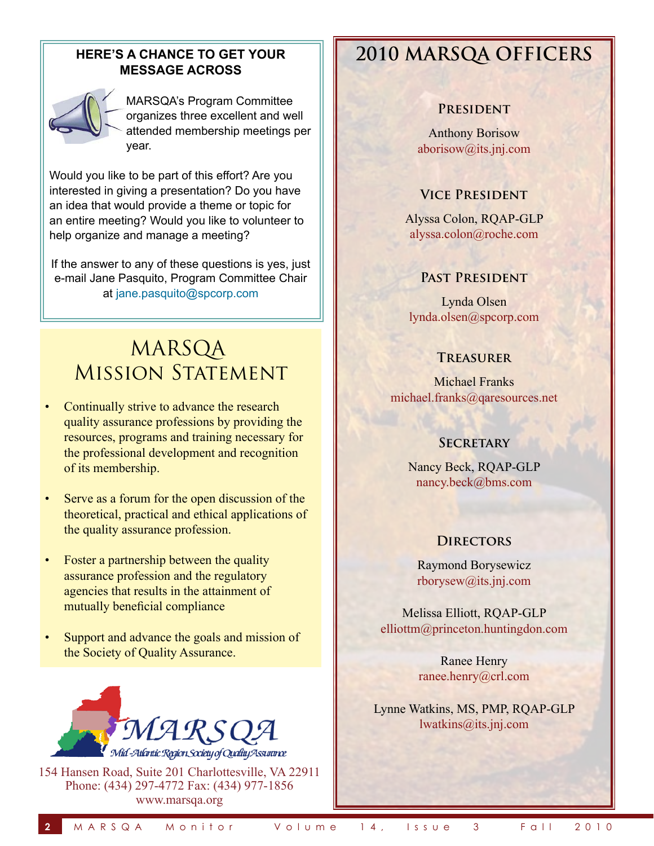## **HERE'S A CHANCE TO GET YOUR MESSAGE ACROSS**



MARSQA's Program Committee organizes three excellent and well attended membership meetings per year.

Would you like to be part of this effort? Are you interested in giving a presentation? Do you have an idea that would provide a theme or topic for an entire meeting? Would you like to volunteer to help organize and manage a meeting?

If the answer to any of these questions is yes, just e-mail Jane Pasquito, Program Committee Chair at jane.pasquito@spcorp.com

# MARSQA **MISSION STATEMENT**

- Continually strive to advance the research quality assurance professions by providing the resources, programs and training necessary for the professional development and recognition of its membership.
- Serve as a forum for the open discussion of the theoretical, practical and ethical applications of the quality assurance profession.
- Foster a partnership between the quality assurance profession and the regulatory agencies that results in the attainment of mutually beneficial compliance
- Support and advance the goals and mission of the Society of Quality Assurance.



154 Hansen Road, Suite 201 Charlottesville, VA 22911 Phone: (434) 297-4772 Fax: (434) 977-1856 www.marsqa.org

# **2010 MARSQA OFFICERS**

### **President**

Anthony Borisow aborisow@its.jnj.com

## **Vice President**

Alyssa Colon, RQAP-GLP alyssa.colon@roche.com

## **Past President**

Lynda Olsen lynda.olsen@spcorp.com

#### **Treasurer**

Michael Franks michael.franks@qaresources.net

### **SECRETARY**

Nancy Beck, RQAP-GLP nancy.beck@bms.com

### **Directors**

Raymond Borysewicz rborysew@its.jnj.com

Melissa Elliott, RQAP-GLP elliottm@princeton.huntingdon.com

> Ranee Henry ranee.henry@crl.com

Lynne Watkins, MS, PMP, RQAP-GLP lwatkins@its.jnj.com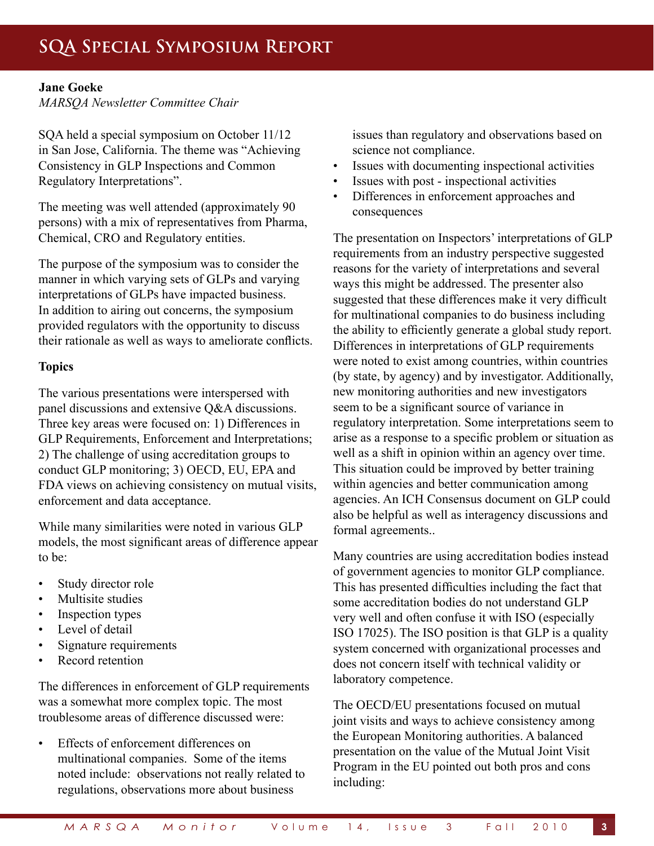### **Jane Goeke**

*MARSQA Newsletter Committee Chair*

SQA held a special symposium on October 11/12 in San Jose, California. The theme was "Achieving Consistency in GLP Inspections and Common Regulatory Interpretations".

The meeting was well attended (approximately 90 persons) with a mix of representatives from Pharma, Chemical, CRO and Regulatory entities.

The purpose of the symposium was to consider the manner in which varying sets of GLPs and varying interpretations of GLPs have impacted business. In addition to airing out concerns, the symposium provided regulators with the opportunity to discuss their rationale as well as ways to ameliorate conflicts.

## **Topics**

The various presentations were interspersed with panel discussions and extensive Q&A discussions. Three key areas were focused on: 1) Differences in GLP Requirements, Enforcement and Interpretations; 2) The challenge of using accreditation groups to conduct GLP monitoring; 3) OECD, EU, EPA and FDA views on achieving consistency on mutual visits, enforcement and data acceptance.

While many similarities were noted in various GLP models, the most significant areas of difference appear to be:

- Study director role
- Multisite studies
- Inspection types
- Level of detail
- Signature requirements
- Record retention

The differences in enforcement of GLP requirements was a somewhat more complex topic. The most troublesome areas of difference discussed were:

• Effects of enforcement differences on multinational companies. Some of the items noted include: observations not really related to regulations, observations more about business

issues than regulatory and observations based on science not compliance.

- Issues with documenting inspectional activities
- Issues with post inspectional activities
- Differences in enforcement approaches and consequences

The presentation on Inspectors' interpretations of GLP requirements from an industry perspective suggested reasons for the variety of interpretations and several ways this might be addressed. The presenter also suggested that these differences make it very difficult for multinational companies to do business including the ability to efficiently generate a global study report. Differences in interpretations of GLP requirements were noted to exist among countries, within countries (by state, by agency) and by investigator. Additionally, new monitoring authorities and new investigators seem to be a significant source of variance in regulatory interpretation. Some interpretations seem to arise as a response to a specific problem or situation as well as a shift in opinion within an agency over time. This situation could be improved by better training within agencies and better communication among agencies. An ICH Consensus document on GLP could also be helpful as well as interagency discussions and formal agreements..

Many countries are using accreditation bodies instead of government agencies to monitor GLP compliance. This has presented difficulties including the fact that some accreditation bodies do not understand GLP very well and often confuse it with ISO (especially ISO 17025). The ISO position is that GLP is a quality system concerned with organizational processes and does not concern itself with technical validity or laboratory competence.

The OECD/EU presentations focused on mutual joint visits and ways to achieve consistency among the European Monitoring authorities. A balanced presentation on the value of the Mutual Joint Visit Program in the EU pointed out both pros and cons including: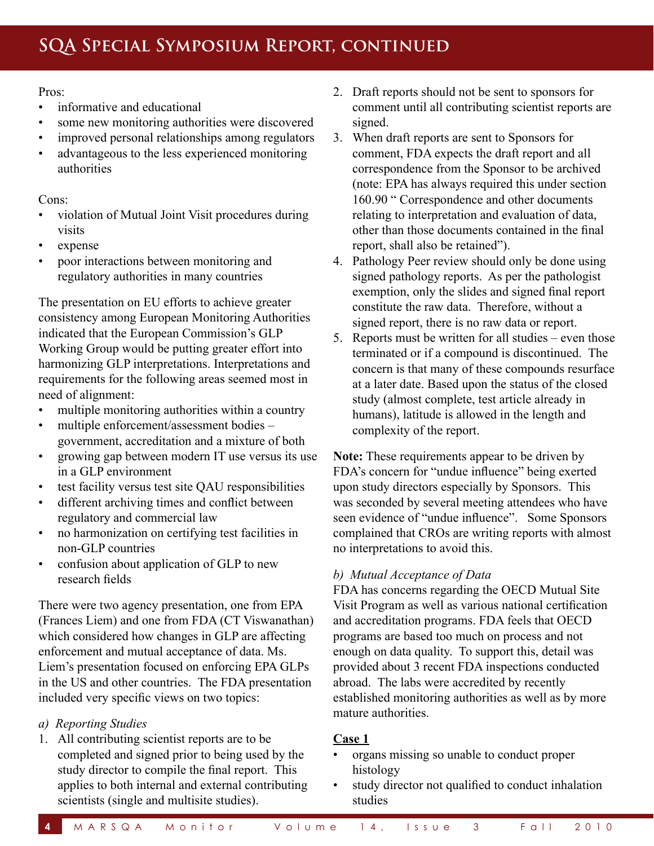Pros:

- informative and educational
- some new monitoring authorities were discovered
- improved personal relationships among regulators
- advantageous to the less experienced monitoring authorities

Cons:

- violation of Mutual Joint Visit procedures during visits
- expense
- poor interactions between monitoring and regulatory authorities in many countries

The presentation on EU efforts to achieve greater consistency among European Monitoring Authorities indicated that the European Commission's GLP Working Group would be putting greater effort into harmonizing GLP interpretations. Interpretations and requirements for the following areas seemed most in need of alignment:

- multiple monitoring authorities within a country
- multiple enforcement/assessment bodies government, accreditation and a mixture of both
- growing gap between modern IT use versus its use in a GLP environment
- test facility versus test site QAU responsibilities
- different archiving times and conflict between regulatory and commercial law
- no harmonization on certifying test facilities in non-GLP countries
- confusion about application of GLP to new research fields

There were two agency presentation, one from EPA (Frances Liem) and one from FDA (CT Viswanathan) which considered how changes in GLP are affecting enforcement and mutual acceptance of data. Ms. Liem's presentation focused on enforcing EPA GLPs in the US and other countries. The FDA presentation included very specific views on two topics:

## *a) Reporting Studies*

1. All contributing scientist reports are to be completed and signed prior to being used by the study director to compile the final report. This applies to both internal and external contributing scientists (single and multisite studies).

- 2. Draft reports should not be sent to sponsors for comment until all contributing scientist reports are signed.
- 3. When draft reports are sent to Sponsors for comment, FDA expects the draft report and all correspondence from the Sponsor to be archived (note: EPA has always required this under section 160.90 " Correspondence and other documents relating to interpretation and evaluation of data, other than those documents contained in the final report, shall also be retained").
- 4. Pathology Peer review should only be done using signed pathology reports. As per the pathologist exemption, only the slides and signed final report constitute the raw data. Therefore, without a signed report, there is no raw data or report.
- 5. Reports must be written for all studies even those terminated or if a compound is discontinued. The concern is that many of these compounds resurface at a later date. Based upon the status of the closed study (almost complete, test article already in humans), latitude is allowed in the length and complexity of the report.

**Note:** These requirements appear to be driven by FDA's concern for "undue influence" being exerted upon study directors especially by Sponsors. This was seconded by several meeting attendees who have seen evidence of "undue influence". Some Sponsors complained that CROs are writing reports with almost no interpretations to avoid this.

## *b) Mutual Acceptance of Data*

FDA has concerns regarding the OECD Mutual Site Visit Program as well as various national certification and accreditation programs. FDA feels that OECD programs are based too much on process and not enough on data quality. To support this, detail was provided about 3 recent FDA inspections conducted abroad. The labs were accredited by recently established monitoring authorities as well as by more mature authorities.

## **Case 1**

- organs missing so unable to conduct proper histology
- study director not qualified to conduct inhalation studies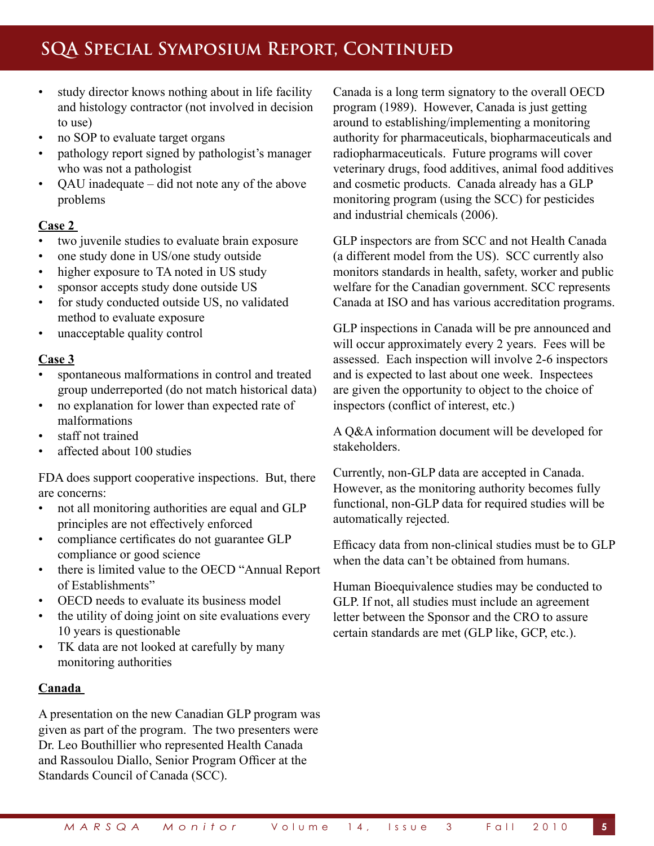# **SQA Special Symposium Report, Continued**

- study director knows nothing about in life facility and histology contractor (not involved in decision to use)
- no SOP to evaluate target organs
- pathology report signed by pathologist's manager who was not a pathologist
- QAU inadequate did not note any of the above problems

## **Case 2**

- two juvenile studies to evaluate brain exposure
- one study done in US/one study outside
- higher exposure to TA noted in US study
- sponsor accepts study done outside US
- for study conducted outside US, no validated method to evaluate exposure
- unacceptable quality control

## **Case 3**

- spontaneous malformations in control and treated group underreported (do not match historical data)
- no explanation for lower than expected rate of malformations
- staff not trained
- affected about 100 studies

FDA does support cooperative inspections. But, there are concerns:

- not all monitoring authorities are equal and GLP principles are not effectively enforced
- compliance certificates do not guarantee GLP compliance or good science
- there is limited value to the OECD "Annual Report of Establishments"
- OECD needs to evaluate its business model
- the utility of doing joint on site evaluations every 10 years is questionable
- TK data are not looked at carefully by many monitoring authorities

### **Canada**

A presentation on the new Canadian GLP program was given as part of the program. The two presenters were Dr. Leo Bouthillier who represented Health Canada and Rassoulou Diallo, Senior Program Officer at the Standards Council of Canada (SCC).

Canada is a long term signatory to the overall OECD program (1989). However, Canada is just getting around to establishing/implementing a monitoring authority for pharmaceuticals, biopharmaceuticals and radiopharmaceuticals. Future programs will cover veterinary drugs, food additives, animal food additives and cosmetic products. Canada already has a GLP monitoring program (using the SCC) for pesticides and industrial chemicals (2006).

GLP inspectors are from SCC and not Health Canada (a different model from the US). SCC currently also monitors standards in health, safety, worker and public welfare for the Canadian government. SCC represents Canada at ISO and has various accreditation programs.

GLP inspections in Canada will be pre announced and will occur approximately every 2 years. Fees will be assessed. Each inspection will involve 2-6 inspectors and is expected to last about one week. Inspectees are given the opportunity to object to the choice of inspectors (conflict of interest, etc.)

A Q&A information document will be developed for stakeholders.

Currently, non-GLP data are accepted in Canada. However, as the monitoring authority becomes fully functional, non-GLP data for required studies will be automatically rejected.

Efficacy data from non-clinical studies must be to GLP when the data can't be obtained from humans.

Human Bioequivalence studies may be conducted to GLP. If not, all studies must include an agreement letter between the Sponsor and the CRO to assure certain standards are met (GLP like, GCP, etc.).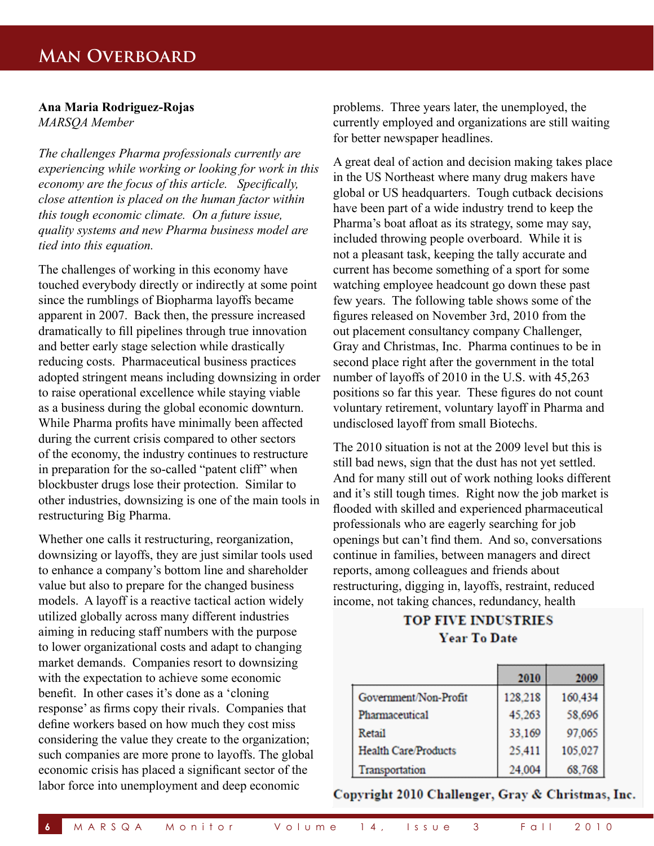## **Man Overboard**

#### **Ana Maria Rodriguez-Rojas** *MARSQA Member*

*The challenges Pharma professionals currently are experiencing while working or looking for work in this economy are the focus of this article. Specifically, close attention is placed on the human factor within this tough economic climate. On a future issue, quality systems and new Pharma business model are tied into this equation.*

The challenges of working in this economy have touched everybody directly or indirectly at some point since the rumblings of Biopharma layoffs became apparent in 2007. Back then, the pressure increased dramatically to fill pipelines through true innovation and better early stage selection while drastically reducing costs. Pharmaceutical business practices adopted stringent means including downsizing in order to raise operational excellence while staying viable as a business during the global economic downturn. While Pharma profits have minimally been affected during the current crisis compared to other sectors of the economy, the industry continues to restructure in preparation for the so-called "patent cliff" when blockbuster drugs lose their protection. Similar to other industries, downsizing is one of the main tools in restructuring Big Pharma.

Whether one calls it restructuring, reorganization, downsizing or layoffs, they are just similar tools used to enhance a company's bottom line and shareholder value but also to prepare for the changed business models. A layoff is a reactive tactical action widely utilized globally across many different industries aiming in reducing staff numbers with the purpose to lower organizational costs and adapt to changing market demands. Companies resort to downsizing with the expectation to achieve some economic benefit. In other cases it's done as a 'cloning response' as firms copy their rivals. Companies that define workers based on how much they cost miss considering the value they create to the organization; such companies are more prone to layoffs. The global economic crisis has placed a significant sector of the labor force into unemployment and deep economic

problems. Three years later, the unemployed, the currently employed and organizations are still waiting for better newspaper headlines.

A great deal of action and decision making takes place in the US Northeast where many drug makers have global or US headquarters. Tough cutback decisions have been part of a wide industry trend to keep the Pharma's boat afloat as its strategy, some may say, included throwing people overboard. While it is not a pleasant task, keeping the tally accurate and current has become something of a sport for some watching employee headcount go down these past few years. The following table shows some of the figures released on November 3rd, 2010 from the out placement consultancy company Challenger, Gray and Christmas, Inc. Pharma continues to be in second place right after the government in the total number of layoffs of 2010 in the U.S. with 45,263 positions so far this year. These figures do not count voluntary retirement, voluntary layoff in Pharma and undisclosed layoff from small Biotechs.

The 2010 situation is not at the 2009 level but this is still bad news, sign that the dust has not yet settled. And for many still out of work nothing looks different and it's still tough times. Right now the job market is flooded with skilled and experienced pharmaceutical professionals who are eagerly searching for job openings but can't find them. And so, conversations continue in families, between managers and direct reports, among colleagues and friends about restructuring, digging in, layoffs, restraint, reduced income, not taking chances, redundancy, health

## **TOP FIVE INDUSTRIES Year To Date**

|                             | 2010    | 2009    |
|-----------------------------|---------|---------|
| Government/Non-Profit       | 128,218 | 160,434 |
| Pharmaceutical              | 45,263  | 58,696  |
| Retail                      | 33.169  | 97,065  |
| <b>Health Care/Products</b> | 25,411  | 105,027 |
| Transportation              | 24.004  | 68,768  |

Copyright 2010 Challenger, Gray & Christmas, Inc.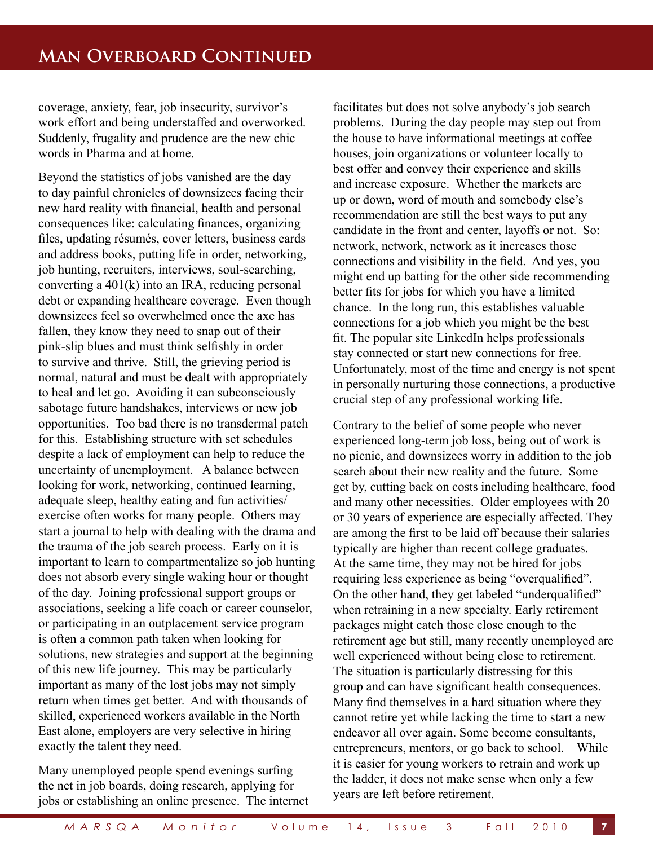coverage, anxiety, fear, job insecurity, survivor's work effort and being understaffed and overworked. Suddenly, frugality and prudence are the new chic words in Pharma and at home.

Beyond the statistics of jobs vanished are the day to day painful chronicles of downsizees facing their new hard reality with financial, health and personal consequences like: calculating finances, organizing files, updating résumés, cover letters, business cards and address books, putting life in order, networking, job hunting, recruiters, interviews, soul-searching, converting a 401(k) into an IRA, reducing personal debt or expanding healthcare coverage. Even though downsizees feel so overwhelmed once the axe has fallen, they know they need to snap out of their pink-slip blues and must think selfishly in order to survive and thrive. Still, the grieving period is normal, natural and must be dealt with appropriately to heal and let go. Avoiding it can subconsciously sabotage future handshakes, interviews or new job opportunities. Too bad there is no transdermal patch for this. Establishing structure with set schedules despite a lack of employment can help to reduce the uncertainty of unemployment. A balance between looking for work, networking, continued learning, adequate sleep, healthy eating and fun activities/ exercise often works for many people. Others may start a journal to help with dealing with the drama and the trauma of the job search process. Early on it is important to learn to compartmentalize so job hunting does not absorb every single waking hour or thought of the day. Joining professional support groups or associations, seeking a life coach or career counselor, or participating in an outplacement service program is often a common path taken when looking for solutions, new strategies and support at the beginning of this new life journey. This may be particularly important as many of the lost jobs may not simply return when times get better. And with thousands of skilled, experienced workers available in the North East alone, employers are very selective in hiring exactly the talent they need.

Many unemployed people spend evenings surfing the net in job boards, doing research, applying for jobs or establishing an online presence. The internet facilitates but does not solve anybody's job search problems. During the day people may step out from the house to have informational meetings at coffee houses, join organizations or volunteer locally to best offer and convey their experience and skills and increase exposure. Whether the markets are up or down, word of mouth and somebody else's recommendation are still the best ways to put any candidate in the front and center, layoffs or not. So: network, network, network as it increases those connections and visibility in the field. And yes, you might end up batting for the other side recommending better fits for jobs for which you have a limited chance. In the long run, this establishes valuable connections for a job which you might be the best fit. The popular site LinkedIn helps professionals stay connected or start new connections for free. Unfortunately, most of the time and energy is not spent in personally nurturing those connections, a productive crucial step of any professional working life.

Contrary to the belief of some people who never experienced long-term job loss, being out of work is no picnic, and downsizees worry in addition to the job search about their new reality and the future. Some get by, cutting back on costs including healthcare, food and many other necessities. Older employees with 20 or 30 years of experience are especially affected. They are among the first to be laid off because their salaries typically are higher than recent college graduates. At the same time, they may not be hired for jobs requiring less experience as being "overqualified". On the other hand, they get labeled "underqualified" when retraining in a new specialty. Early retirement packages might catch those close enough to the retirement age but still, many recently unemployed are well experienced without being close to retirement. The situation is particularly distressing for this group and can have significant health consequences. Many find themselves in a hard situation where they cannot retire yet while lacking the time to start a new endeavor all over again. Some become consultants, entrepreneurs, mentors, or go back to school. While it is easier for young workers to retrain and work up the ladder, it does not make sense when only a few years are left before retirement.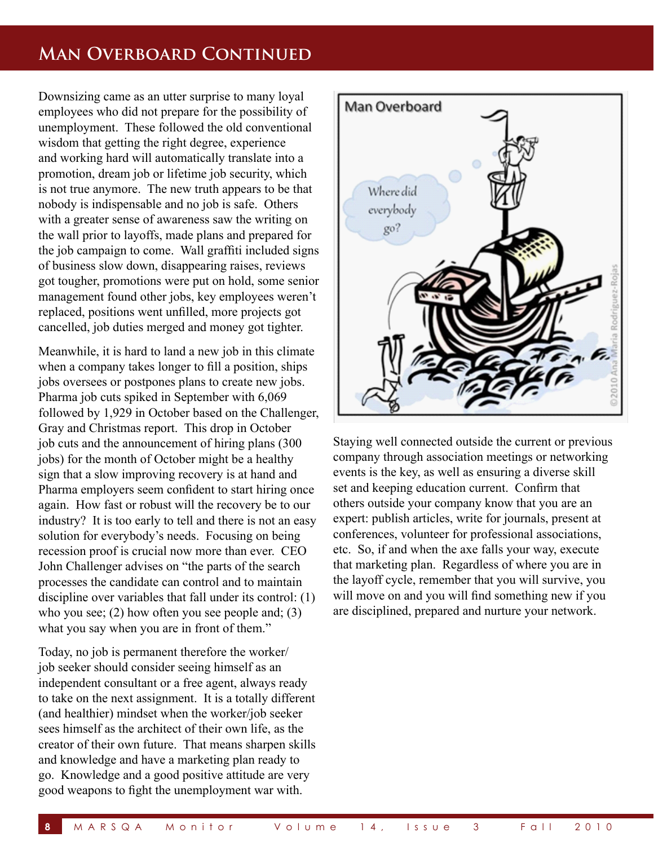## **Man Overboard Continued**

Downsizing came as an utter surprise to many loyal employees who did not prepare for the possibility of unemployment. These followed the old conventional wisdom that getting the right degree, experience and working hard will automatically translate into a promotion, dream job or lifetime job security, which is not true anymore. The new truth appears to be that nobody is indispensable and no job is safe. Others with a greater sense of awareness saw the writing on the wall prior to layoffs, made plans and prepared for the job campaign to come. Wall graffiti included signs of business slow down, disappearing raises, reviews got tougher, promotions were put on hold, some senior management found other jobs, key employees weren't replaced, positions went unfilled, more projects got cancelled, job duties merged and money got tighter.

Meanwhile, it is hard to land a new job in this climate when a company takes longer to fill a position, ships jobs oversees or postpones plans to create new jobs. Pharma job cuts spiked in September with 6,069 followed by 1,929 in October based on the Challenger, Gray and Christmas report. This drop in October job cuts and the announcement of hiring plans (300 jobs) for the month of October might be a healthy sign that a slow improving recovery is at hand and Pharma employers seem confident to start hiring once again. How fast or robust will the recovery be to our industry? It is too early to tell and there is not an easy solution for everybody's needs. Focusing on being recession proof is crucial now more than ever. CEO John Challenger advises on "the parts of the search processes the candidate can control and to maintain discipline over variables that fall under its control: (1) who you see; (2) how often you see people and; (3) what you say when you are in front of them."

Today, no job is permanent therefore the worker/ job seeker should consider seeing himself as an independent consultant or a free agent, always ready to take on the next assignment. It is a totally different (and healthier) mindset when the worker/job seeker sees himself as the architect of their own life, as the creator of their own future. That means sharpen skills and knowledge and have a marketing plan ready to go. Knowledge and a good positive attitude are very good weapons to fight the unemployment war with.



Staying well connected outside the current or previous company through association meetings or networking events is the key, as well as ensuring a diverse skill set and keeping education current. Confirm that others outside your company know that you are an expert: publish articles, write for journals, present at conferences, volunteer for professional associations, etc. So, if and when the axe falls your way, execute that marketing plan. Regardless of where you are in the layoff cycle, remember that you will survive, you will move on and you will find something new if you are disciplined, prepared and nurture your network.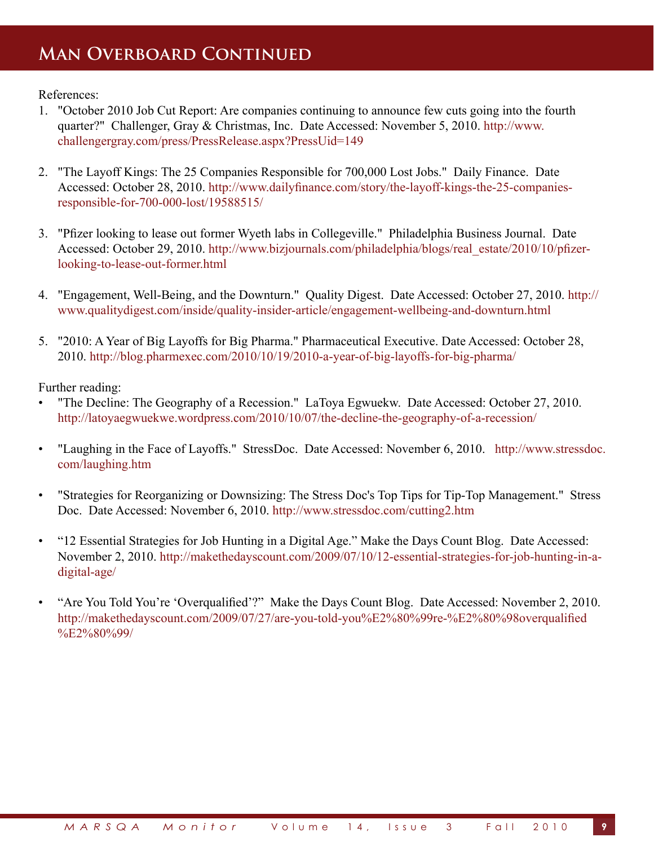## **Man Overboard Continued**

References:

- 1. "October 2010 Job Cut Report: Are companies continuing to announce few cuts going into the fourth quarter?" Challenger, Gray & Christmas, Inc. Date Accessed: November 5, 2010. http://www. challengergray.com/press/PressRelease.aspx?PressUid=149
- 2. "The Layoff Kings: The 25 Companies Responsible for 700,000 Lost Jobs." Daily Finance. Date Accessed: October 28, 2010. http://www.dailyfinance.com/story/the-layoff-kings-the-25-companiesresponsible-for-700-000-lost/19588515/
- 3. "Pfizer looking to lease out former Wyeth labs in Collegeville." Philadelphia Business Journal. Date Accessed: October 29, 2010. http://www.bizjournals.com/philadelphia/blogs/real\_estate/2010/10/pfizerlooking-to-lease-out-former.html
- 4. "Engagement, Well-Being, and the Downturn." Quality Digest. Date Accessed: October 27, 2010. http:// www.qualitydigest.com/inside/quality-insider-article/engagement-wellbeing-and-downturn.html
- 5. "2010: A Year of Big Layoffs for Big Pharma." Pharmaceutical Executive. Date Accessed: October 28, 2010. http://blog.pharmexec.com/2010/10/19/2010-a-year-of-big-layoffs-for-big-pharma/

Further reading:

- "The Decline: The Geography of a Recession." LaToya Egwuekw. Date Accessed: October 27, 2010. http://latoyaegwuekwe.wordpress.com/2010/10/07/the-decline-the-geography-of-a-recession/
- "Laughing in the Face of Layoffs." StressDoc. Date Accessed: November 6, 2010. http://www.stressdoc. com/laughing.htm
- "Strategies for Reorganizing or Downsizing: The Stress Doc's Top Tips for Tip-Top Management." Stress Doc. Date Accessed: November 6, 2010. http://www.stressdoc.com/cutting2.htm
- "12 Essential Strategies for Job Hunting in a Digital Age." Make the Days Count Blog. Date Accessed: November 2, 2010. http://makethedayscount.com/2009/07/10/12-essential-strategies-for-job-hunting-in-adigital-age/
- "Are You Told You're 'Overqualified'?" Make the Days Count Blog. Date Accessed: November 2, 2010. http://makethedayscount.com/2009/07/27/are-you-told-you%E2%80%99re-%E2%80%98overqualified %E2%80%99/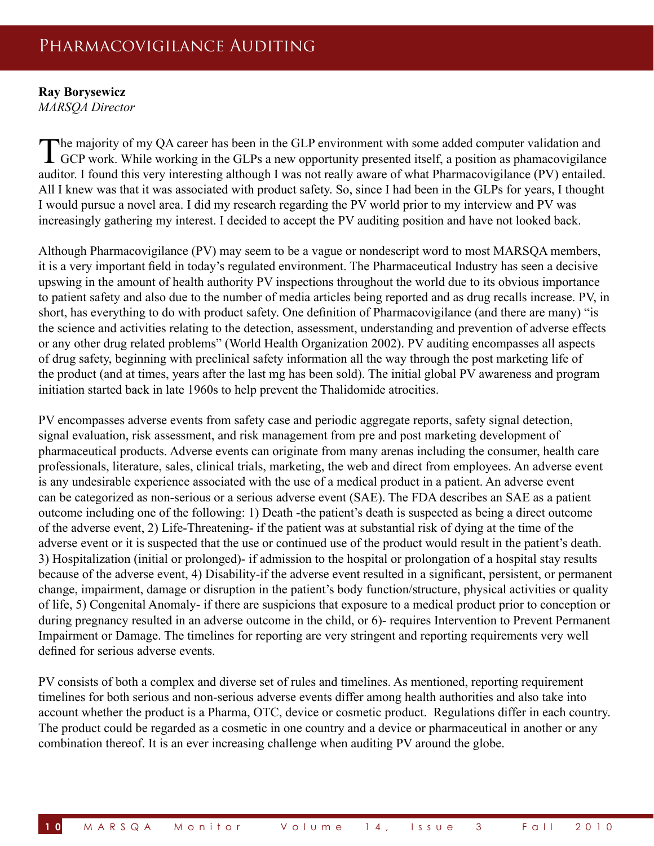## Pharmacovigilance Auditing

## **Ray Borysewicz**

*MARSQA Director*

The majority of my QA career has been in the GLP environment with some added computer validation and GCP work. While working in the GLPs a new opportunity presented itself, a position as phamacovigilance auditor. I found this very interesting although I was not really aware of what Pharmacovigilance (PV) entailed. All I knew was that it was associated with product safety. So, since I had been in the GLPs for years, I thought I would pursue a novel area. I did my research regarding the PV world prior to my interview and PV was increasingly gathering my interest. I decided to accept the PV auditing position and have not looked back.

Although Pharmacovigilance (PV) may seem to be a vague or nondescript word to most MARSQA members, it is a very important field in today's regulated environment. The Pharmaceutical Industry has seen a decisive upswing in the amount of health authority PV inspections throughout the world due to its obvious importance to patient safety and also due to the number of media articles being reported and as drug recalls increase. PV, in short, has everything to do with product safety. One definition of Pharmacovigilance (and there are many) "is the science and activities relating to the detection, assessment, understanding and prevention of adverse effects or any other drug related problems" (World Health Organization 2002). PV auditing encompasses all aspects of drug safety, beginning with preclinical safety information all the way through the post marketing life of the product (and at times, years after the last mg has been sold). The initial global PV awareness and program initiation started back in late 1960s to help prevent the Thalidomide atrocities.

PV encompasses adverse events from safety case and periodic aggregate reports, safety signal detection, signal evaluation, risk assessment, and risk management from pre and post marketing development of pharmaceutical products. Adverse events can originate from many arenas including the consumer, health care professionals, literature, sales, clinical trials, marketing, the web and direct from employees. An adverse event is any undesirable experience associated with the use of a medical product in a patient. An adverse event can be categorized as non-serious or a serious adverse event (SAE). The FDA describes an SAE as a patient outcome including one of the following: 1) Death -the patient's death is suspected as being a direct outcome of the adverse event, 2) Life-Threatening- if the patient was at substantial risk of dying at the time of the adverse event or it is suspected that the use or continued use of the product would result in the patient's death. 3) Hospitalization (initial or prolonged)- if admission to the hospital or prolongation of a hospital stay results because of the adverse event, 4) Disability-if the adverse event resulted in a significant, persistent, or permanent change, impairment, damage or disruption in the patient's body function/structure, physical activities or quality of life, 5) Congenital Anomaly- if there are suspicions that exposure to a medical product prior to conception or during pregnancy resulted in an adverse outcome in the child, or 6)- requires Intervention to Prevent Permanent Impairment or Damage. The timelines for reporting are very stringent and reporting requirements very well defined for serious adverse events.

PV consists of both a complex and diverse set of rules and timelines. As mentioned, reporting requirement timelines for both serious and non-serious adverse events differ among health authorities and also take into account whether the product is a Pharma, OTC, device or cosmetic product. Regulations differ in each country. The product could be regarded as a cosmetic in one country and a device or pharmaceutical in another or any combination thereof. It is an ever increasing challenge when auditing PV around the globe.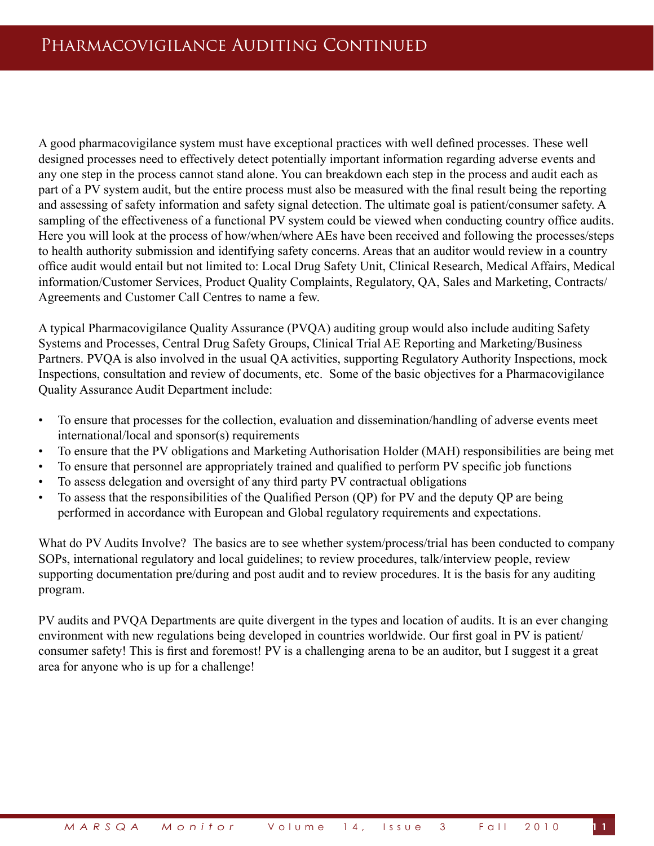A good pharmacovigilance system must have exceptional practices with well defined processes. These well designed processes need to effectively detect potentially important information regarding adverse events and any one step in the process cannot stand alone. You can breakdown each step in the process and audit each as part of a PV system audit, but the entire process must also be measured with the final result being the reporting and assessing of safety information and safety signal detection. The ultimate goal is patient/consumer safety. A sampling of the effectiveness of a functional PV system could be viewed when conducting country office audits. Here you will look at the process of how/when/where AEs have been received and following the processes/steps to health authority submission and identifying safety concerns. Areas that an auditor would review in a country office audit would entail but not limited to: Local Drug Safety Unit, Clinical Research, Medical Affairs, Medical information/Customer Services, Product Quality Complaints, Regulatory, QA, Sales and Marketing, Contracts/ Agreements and Customer Call Centres to name a few.

A typical Pharmacovigilance Quality Assurance (PVQA) auditing group would also include auditing Safety Systems and Processes, Central Drug Safety Groups, Clinical Trial AE Reporting and Marketing/Business Partners. PVQA is also involved in the usual QA activities, supporting Regulatory Authority Inspections, mock Inspections, consultation and review of documents, etc. Some of the basic objectives for a Pharmacovigilance Quality Assurance Audit Department include:

- To ensure that processes for the collection, evaluation and dissemination/handling of adverse events meet international/local and sponsor(s) requirements
- To ensure that the PV obligations and Marketing Authorisation Holder (MAH) responsibilities are being met
- To ensure that personnel are appropriately trained and qualified to perform PV specific job functions
- To assess delegation and oversight of any third party PV contractual obligations
- To assess that the responsibilities of the Qualified Person (QP) for PV and the deputy QP are being performed in accordance with European and Global regulatory requirements and expectations.

What do PV Audits Involve? The basics are to see whether system/process/trial has been conducted to company SOPs, international regulatory and local guidelines; to review procedures, talk/interview people, review supporting documentation pre/during and post audit and to review procedures. It is the basis for any auditing program.

PV audits and PVQA Departments are quite divergent in the types and location of audits. It is an ever changing environment with new regulations being developed in countries worldwide. Our first goal in PV is patient/ consumer safety! This is first and foremost! PV is a challenging arena to be an auditor, but I suggest it a great area for anyone who is up for a challenge!